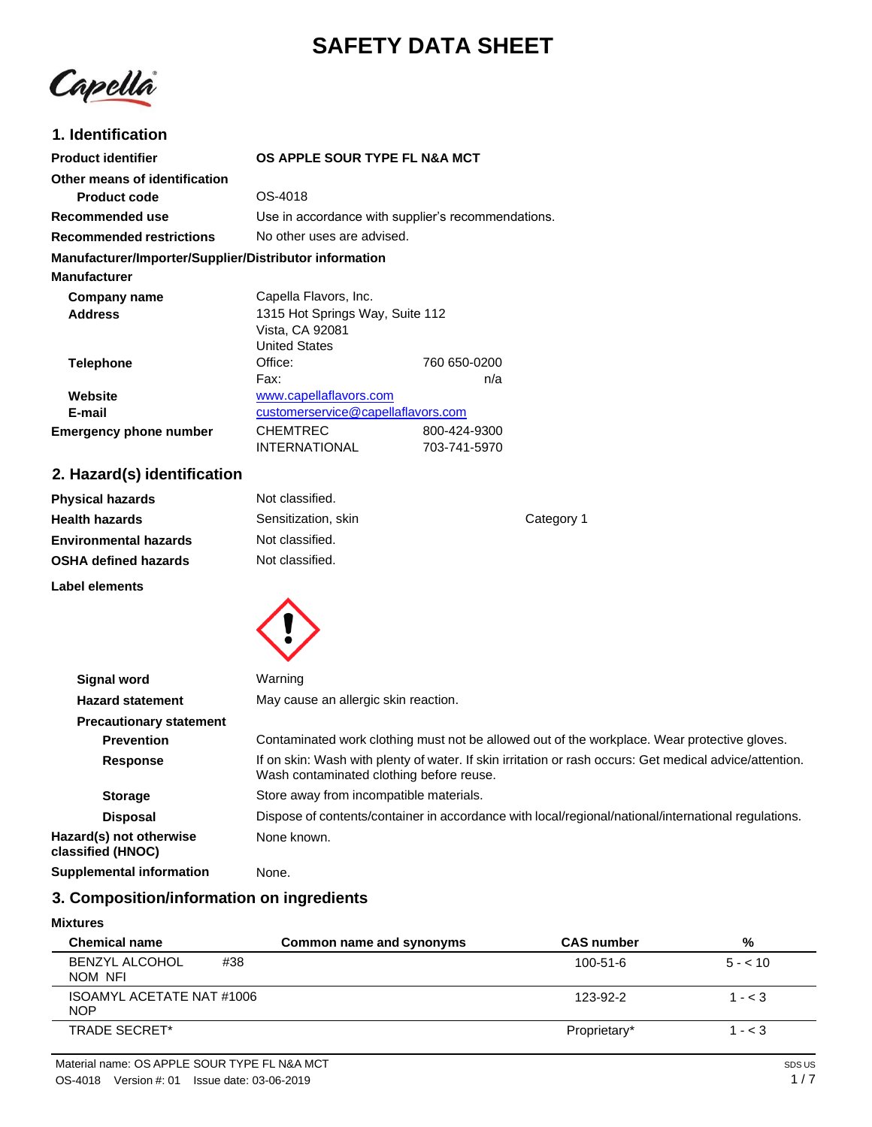# **SAFETY DATA SHEET**

Capella

### **1. Identification**

| <b>Product identifier</b>                              | OS APPLE SOUR TYPE FL N&A MCT                      |              |
|--------------------------------------------------------|----------------------------------------------------|--------------|
| Other means of identification                          |                                                    |              |
| <b>Product code</b>                                    | OS-4018                                            |              |
| Recommended use                                        | Use in accordance with supplier's recommendations. |              |
| <b>Recommended restrictions</b>                        | No other uses are advised.                         |              |
| Manufacturer/Importer/Supplier/Distributor information |                                                    |              |
| <b>Manufacturer</b>                                    |                                                    |              |
| Company name                                           | Capella Flavors, Inc.                              |              |
| <b>Address</b>                                         | 1315 Hot Springs Way, Suite 112                    |              |
|                                                        | Vista, CA 92081                                    |              |
|                                                        | <b>United States</b>                               |              |
| <b>Telephone</b>                                       | Office:                                            | 760 650-0200 |
|                                                        | Fax:                                               | n/a          |
| Website                                                | www.capellaflavors.com                             |              |
| E-mail                                                 | customerservice@capellaflavors.com                 |              |
| <b>Emergency phone number</b>                          | <b>CHEMTREC</b>                                    | 800-424-9300 |
|                                                        | <b>INTERNATIONAL</b>                               | 703-741-5970 |

## **2. Hazard(s) identification**

| <b>Physical hazards</b>      | Not classified.     |            |
|------------------------------|---------------------|------------|
| <b>Health hazards</b>        | Sensitization, skin | Category 1 |
| <b>Environmental hazards</b> | Not classified.     |            |
| <b>OSHA defined hazards</b>  | Not classified.     |            |
| Label elements               |                     |            |



| <b>Signal word</b>                           | Warning                                                                                                                                             |
|----------------------------------------------|-----------------------------------------------------------------------------------------------------------------------------------------------------|
| <b>Hazard statement</b>                      | May cause an allergic skin reaction.                                                                                                                |
| <b>Precautionary statement</b>               |                                                                                                                                                     |
| <b>Prevention</b>                            | Contaminated work clothing must not be allowed out of the workplace. Wear protective gloves.                                                        |
| <b>Response</b>                              | If on skin: Wash with plenty of water. If skin irritation or rash occurs: Get medical advice/attention.<br>Wash contaminated clothing before reuse. |
| <b>Storage</b>                               | Store away from incompatible materials.                                                                                                             |
| <b>Disposal</b>                              | Dispose of contents/container in accordance with local/regional/national/international regulations.                                                 |
| Hazard(s) not otherwise<br>classified (HNOC) | None known.                                                                                                                                         |
| <b>Supplemental information</b>              | None.                                                                                                                                               |

### **3. Composition/information on ingredients**

#### **Mixtures**

| <b>Chemical name</b>                    | Common name and synonyms | <b>CAS number</b> | %         |
|-----------------------------------------|--------------------------|-------------------|-----------|
| <b>BENZYL ALCOHOL</b><br>#38<br>NOM NFI |                          | $100 - 51 - 6$    | $5 - 10$  |
| ISOAMYL ACETATE NAT #1006<br><b>NOP</b> |                          | $123 - 92 - 2$    | $1 - < 3$ |
| TRADE SECRET*                           |                          | Proprietary*      | $1 - < 3$ |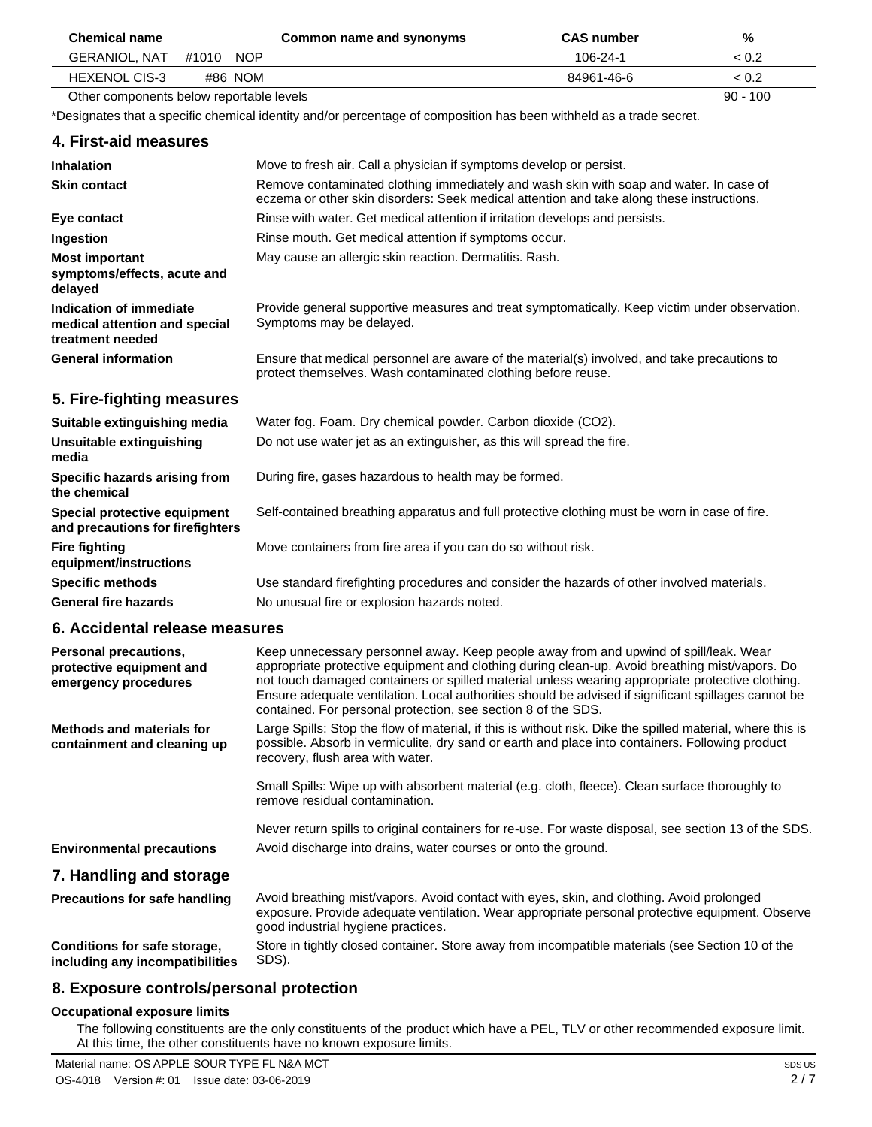| <b>Chemical name</b>                     | Common name and synonyms | <b>CAS number</b> | %          |
|------------------------------------------|--------------------------|-------------------|------------|
| <b>GERANIOL, NAT</b><br>NOP.<br>#1010    |                          | 106-24-1          | < 0.2      |
| #86 NOM<br><b>HEXENOL CIS-3</b>          |                          | 84961-46-6        | < 0.2      |
| Other components below reportable levels |                          |                   | $90 - 100$ |

Other components below reportable levels

\*Designates that a specific chemical identity and/or percentage of composition has been withheld as a trade secret.

#### **4. First-aid measures**

| <b>Inhalation</b>                                                            | Move to fresh air. Call a physician if symptoms develop or persist.                                                                                                                 |
|------------------------------------------------------------------------------|-------------------------------------------------------------------------------------------------------------------------------------------------------------------------------------|
| <b>Skin contact</b>                                                          | Remove contaminated clothing immediately and wash skin with soap and water. In case of<br>eczema or other skin disorders: Seek medical attention and take along these instructions. |
| Eye contact                                                                  | Rinse with water. Get medical attention if irritation develops and persists.                                                                                                        |
| Ingestion                                                                    | Rinse mouth. Get medical attention if symptoms occur.                                                                                                                               |
| <b>Most important</b><br>symptoms/effects, acute and<br>delayed              | May cause an allergic skin reaction. Dermatitis. Rash.                                                                                                                              |
| Indication of immediate<br>medical attention and special<br>treatment needed | Provide general supportive measures and treat symptomatically. Keep victim under observation.<br>Symptoms may be delayed.                                                           |
| <b>General information</b>                                                   | Ensure that medical personnel are aware of the material(s) involved, and take precautions to<br>protect themselves. Wash contaminated clothing before reuse.                        |
| 5. Fire-fighting measures                                                    |                                                                                                                                                                                     |
| Suitable extinguishing media                                                 | Water fog. Foam. Dry chemical powder. Carbon dioxide (CO2).                                                                                                                         |
| Unsuitable extinguishing<br>media                                            | Do not use water jet as an extinguisher, as this will spread the fire.                                                                                                              |
| Specific hazards arising from<br>the chemical                                | During fire, gases hazardous to health may be formed.                                                                                                                               |
| Special protective equipment<br>and precautions for firefighters             | Self-contained breathing apparatus and full protective clothing must be worn in case of fire.                                                                                       |
| <b>Fire fighting</b><br>equipment/instructions                               | Move containers from fire area if you can do so without risk.                                                                                                                       |
| <b>Specific methods</b>                                                      | Use standard firefighting procedures and consider the hazards of other involved materials.                                                                                          |
| <b>General fire hazards</b>                                                  | No unusual fire or explosion hazards noted.                                                                                                                                         |
|                                                                              |                                                                                                                                                                                     |

#### **6. Accidental release measures**

| <b>Personal precautions,</b><br>protective equipment and<br>emergency procedures | Keep unnecessary personnel away. Keep people away from and upwind of spill/leak. Wear<br>appropriate protective equipment and clothing during clean-up. Avoid breathing mist/vapors. Do<br>not touch damaged containers or spilled material unless wearing appropriate protective clothing.<br>Ensure adequate ventilation. Local authorities should be advised if significant spillages cannot be<br>contained. For personal protection, see section 8 of the SDS. |
|----------------------------------------------------------------------------------|---------------------------------------------------------------------------------------------------------------------------------------------------------------------------------------------------------------------------------------------------------------------------------------------------------------------------------------------------------------------------------------------------------------------------------------------------------------------|
| <b>Methods and materials for</b><br>containment and cleaning up                  | Large Spills: Stop the flow of material, if this is without risk. Dike the spilled material, where this is<br>possible. Absorb in vermiculite, dry sand or earth and place into containers. Following product<br>recovery, flush area with water.                                                                                                                                                                                                                   |
|                                                                                  | Small Spills: Wipe up with absorbent material (e.g. cloth, fleece). Clean surface thoroughly to<br>remove residual contamination.                                                                                                                                                                                                                                                                                                                                   |
|                                                                                  | Never return spills to original containers for re-use. For waste disposal, see section 13 of the SDS.<br>Avoid discharge into drains, water courses or onto the ground.                                                                                                                                                                                                                                                                                             |
| <b>Environmental precautions</b>                                                 |                                                                                                                                                                                                                                                                                                                                                                                                                                                                     |
| 7. Handling and storage                                                          |                                                                                                                                                                                                                                                                                                                                                                                                                                                                     |
| <b>Precautions for safe handling</b>                                             | Avoid breathing mist/vapors. Avoid contact with eyes, skin, and clothing. Avoid prolonged<br>exposure. Provide adequate ventilation. Wear appropriate personal protective equipment. Observe<br>good industrial hygiene practices.                                                                                                                                                                                                                                  |
| Conditions for safe storage,<br>including any incompatibilities                  | Store in tightly closed container. Store away from incompatible materials (see Section 10 of the<br>SDS).                                                                                                                                                                                                                                                                                                                                                           |

#### **8. Exposure controls/personal protection**

#### **Occupational exposure limits**

The following constituents are the only constituents of the product which have a PEL, TLV or other recommended exposure limit. At this time, the other constituents have no known exposure limits.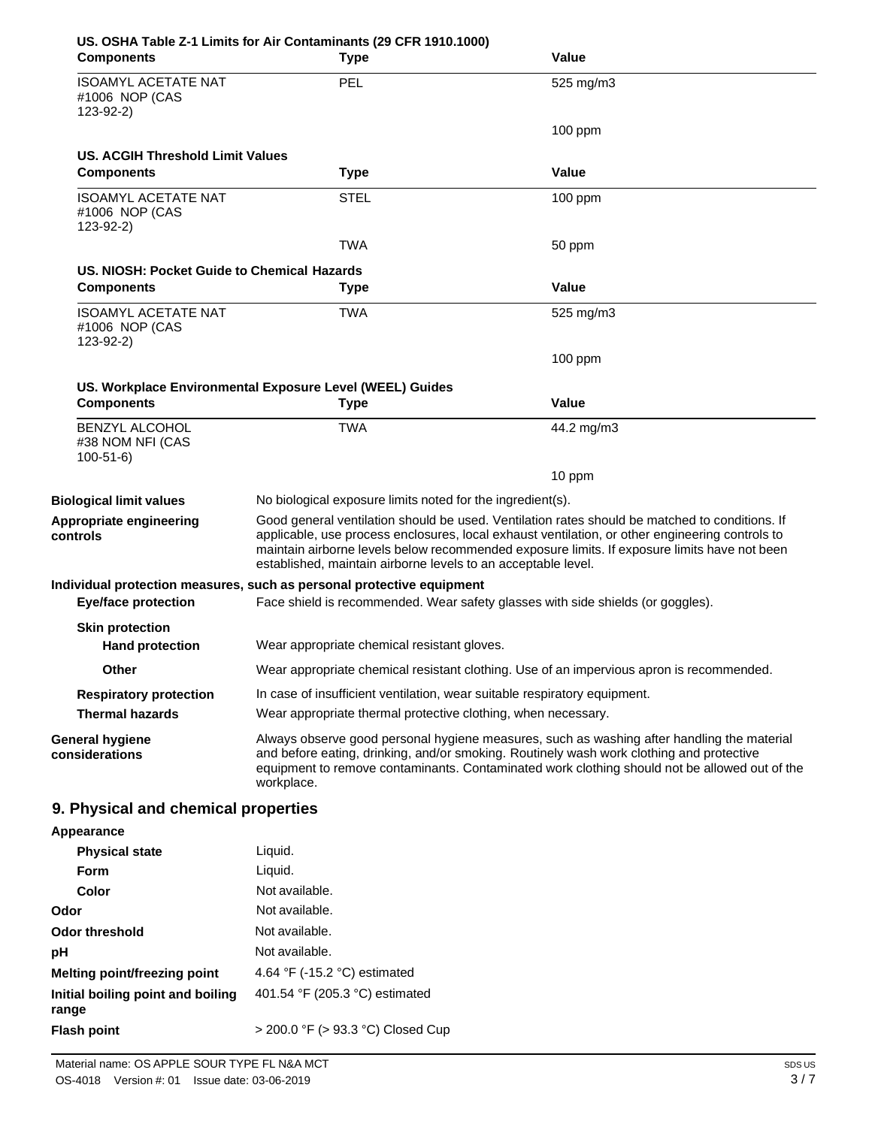| <b>Components</b>                                           | US. OSHA Table Z-1 Limits for Air Contaminants (29 CFR 1910.1000)<br><b>Type</b>                                                                                                                                                                                                                                                                                   | Value                                                                                    |
|-------------------------------------------------------------|--------------------------------------------------------------------------------------------------------------------------------------------------------------------------------------------------------------------------------------------------------------------------------------------------------------------------------------------------------------------|------------------------------------------------------------------------------------------|
| <b>ISOAMYL ACETATE NAT</b><br>#1006 NOP (CAS<br>$123-92-2)$ | PEL                                                                                                                                                                                                                                                                                                                                                                | 525 mg/m3                                                                                |
|                                                             |                                                                                                                                                                                                                                                                                                                                                                    | $100$ ppm                                                                                |
| US. ACGIH Threshold Limit Values                            |                                                                                                                                                                                                                                                                                                                                                                    |                                                                                          |
| <b>Components</b>                                           | <b>Type</b>                                                                                                                                                                                                                                                                                                                                                        | Value                                                                                    |
| <b>ISOAMYL ACETATE NAT</b><br>#1006 NOP (CAS<br>$123-92-2)$ | <b>STEL</b>                                                                                                                                                                                                                                                                                                                                                        | $100$ ppm                                                                                |
|                                                             | TWA                                                                                                                                                                                                                                                                                                                                                                | 50 ppm                                                                                   |
| US. NIOSH: Pocket Guide to Chemical Hazards                 |                                                                                                                                                                                                                                                                                                                                                                    |                                                                                          |
| <b>Components</b>                                           | <b>Type</b>                                                                                                                                                                                                                                                                                                                                                        | Value                                                                                    |
| <b>ISOAMYL ACETATE NAT</b><br>#1006 NOP (CAS<br>$123-92-2)$ | TWA                                                                                                                                                                                                                                                                                                                                                                | 525 mg/m3                                                                                |
|                                                             |                                                                                                                                                                                                                                                                                                                                                                    | $100$ ppm                                                                                |
|                                                             | US. Workplace Environmental Exposure Level (WEEL) Guides                                                                                                                                                                                                                                                                                                           |                                                                                          |
| <b>Components</b>                                           | <b>Type</b>                                                                                                                                                                                                                                                                                                                                                        | Value                                                                                    |
| <b>BENZYL ALCOHOL</b><br>#38 NOM NFI (CAS<br>$100-51-6$     | TWA                                                                                                                                                                                                                                                                                                                                                                | 44.2 mg/m3                                                                               |
|                                                             |                                                                                                                                                                                                                                                                                                                                                                    | 10 ppm                                                                                   |
| <b>Biological limit values</b>                              | No biological exposure limits noted for the ingredient(s).                                                                                                                                                                                                                                                                                                         |                                                                                          |
| Appropriate engineering<br>controls                         | Good general ventilation should be used. Ventilation rates should be matched to conditions. If<br>applicable, use process enclosures, local exhaust ventilation, or other engineering controls to<br>maintain airborne levels below recommended exposure limits. If exposure limits have not been<br>established, maintain airborne levels to an acceptable level. |                                                                                          |
| <b>Eye/face protection</b>                                  | Individual protection measures, such as personal protective equipment                                                                                                                                                                                                                                                                                              | Face shield is recommended. Wear safety glasses with side shields (or goggles).          |
| <b>Skin protection</b>                                      |                                                                                                                                                                                                                                                                                                                                                                    |                                                                                          |
| <b>Hand protection</b>                                      | Wear appropriate chemical resistant gloves.                                                                                                                                                                                                                                                                                                                        |                                                                                          |
| Other                                                       |                                                                                                                                                                                                                                                                                                                                                                    | Wear appropriate chemical resistant clothing. Use of an impervious apron is recommended. |
| <b>Respiratory protection</b>                               | In case of insufficient ventilation, wear suitable respiratory equipment.                                                                                                                                                                                                                                                                                          |                                                                                          |
| <b>Thermal hazards</b>                                      | Wear appropriate thermal protective clothing, when necessary.                                                                                                                                                                                                                                                                                                      |                                                                                          |
| <b>General hygiene</b><br>considerations                    | Always observe good personal hygiene measures, such as washing after handling the material<br>and before eating, drinking, and/or smoking. Routinely wash work clothing and protective<br>equipment to remove contaminants. Contaminated work clothing should not be allowed out of the<br>workplace.                                                              |                                                                                          |
| 9. Physical and chemical properties                         |                                                                                                                                                                                                                                                                                                                                                                    |                                                                                          |
| Appearance                                                  |                                                                                                                                                                                                                                                                                                                                                                    |                                                                                          |
| <b>Physical state</b>                                       | Liquid.                                                                                                                                                                                                                                                                                                                                                            |                                                                                          |
| Form                                                        | Liquid.                                                                                                                                                                                                                                                                                                                                                            |                                                                                          |
| Color                                                       | Not available.                                                                                                                                                                                                                                                                                                                                                     |                                                                                          |
| Odor                                                        | Not available.                                                                                                                                                                                                                                                                                                                                                     |                                                                                          |
| <b>Odor threshold</b>                                       | Not available.                                                                                                                                                                                                                                                                                                                                                     |                                                                                          |
| pH                                                          | Not available.                                                                                                                                                                                                                                                                                                                                                     |                                                                                          |
| Melting point/freezing point                                | 4.64 °F (-15.2 °C) estimated                                                                                                                                                                                                                                                                                                                                       |                                                                                          |
| Initial boiling point and boiling<br>range                  | 401.54 °F (205.3 °C) estimated                                                                                                                                                                                                                                                                                                                                     |                                                                                          |
| <b>Flash point</b>                                          | > 200.0 °F (> 93.3 °C) Closed Cup                                                                                                                                                                                                                                                                                                                                  |                                                                                          |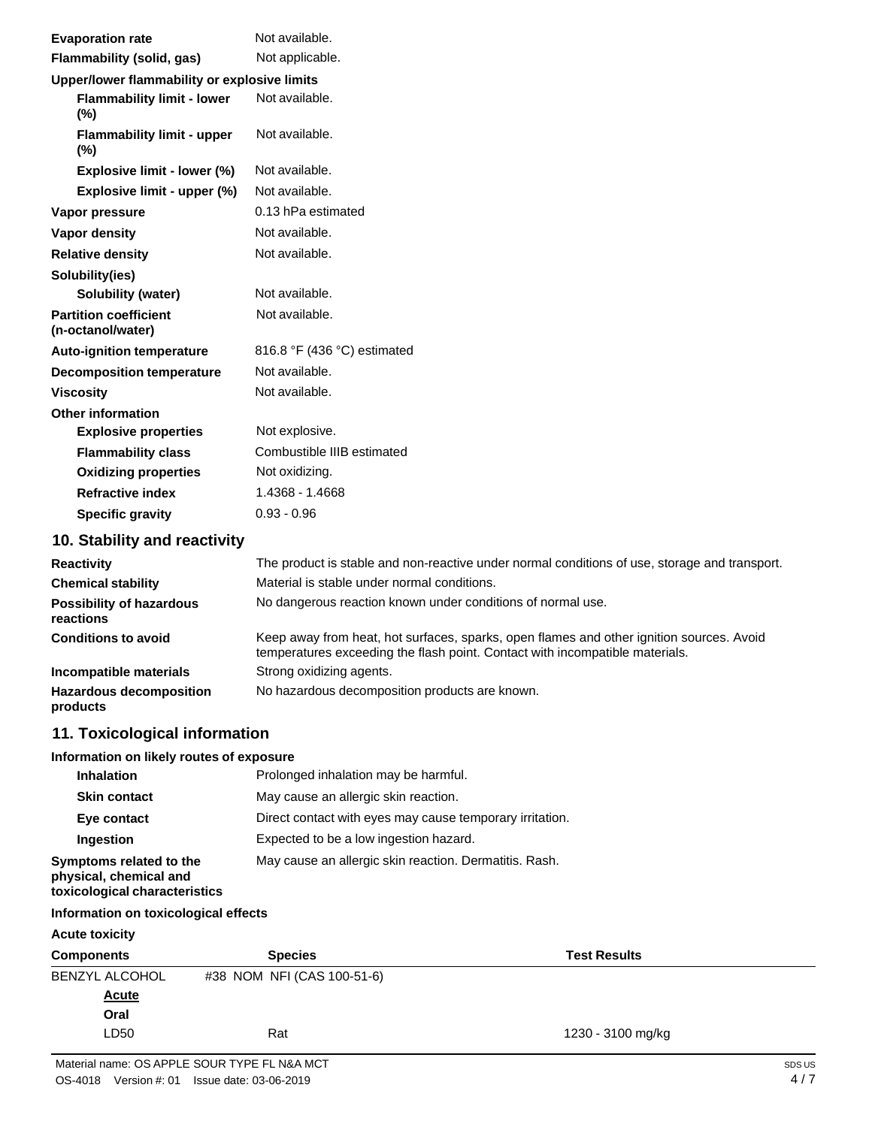| <b>Evaporation rate</b>                           | Not available.                                                                                                                                                           |
|---------------------------------------------------|--------------------------------------------------------------------------------------------------------------------------------------------------------------------------|
| Flammability (solid, gas)                         | Not applicable.                                                                                                                                                          |
| Upper/lower flammability or explosive limits      |                                                                                                                                                                          |
| <b>Flammability limit - lower</b><br>$(\%)$       | Not available.                                                                                                                                                           |
| <b>Flammability limit - upper</b><br>(%)          | Not available.                                                                                                                                                           |
| Explosive limit - lower (%)                       | Not available.                                                                                                                                                           |
| Explosive limit - upper (%)                       | Not available.                                                                                                                                                           |
| Vapor pressure                                    | 0.13 hPa estimated                                                                                                                                                       |
| Vapor density                                     | Not available.                                                                                                                                                           |
| <b>Relative density</b>                           | Not available.                                                                                                                                                           |
| Solubility(ies)                                   |                                                                                                                                                                          |
| Solubility (water)                                | Not available.                                                                                                                                                           |
| <b>Partition coefficient</b><br>(n-octanol/water) | Not available.                                                                                                                                                           |
| <b>Auto-ignition temperature</b>                  | 816.8 °F (436 °C) estimated                                                                                                                                              |
| <b>Decomposition temperature</b>                  | Not available.                                                                                                                                                           |
| <b>Viscosity</b>                                  | Not available.                                                                                                                                                           |
| <b>Other information</b>                          |                                                                                                                                                                          |
| <b>Explosive properties</b>                       | Not explosive.                                                                                                                                                           |
| <b>Flammability class</b>                         | Combustible IIIB estimated                                                                                                                                               |
| <b>Oxidizing properties</b>                       | Not oxidizing.                                                                                                                                                           |
| <b>Refractive index</b>                           | 1.4368 - 1.4668                                                                                                                                                          |
| <b>Specific gravity</b>                           | $0.93 - 0.96$                                                                                                                                                            |
| 10. Stability and reactivity                      |                                                                                                                                                                          |
| <b>Reactivity</b>                                 | The product is stable and non-reactive under normal conditions of use, storage and transport.                                                                            |
| <b>Chemical stability</b>                         | Material is stable under normal conditions.                                                                                                                              |
| <b>Possibility of hazardous</b><br>reactions      | No dangerous reaction known under conditions of normal use.                                                                                                              |
| <b>Conditions to avoid</b>                        | Keep away from heat, hot surfaces, sparks, open flames and other ignition sources. Avoid<br>temperatures exceeding the flash point. Contact with incompatible materials. |
| Incompatible materials                            | Strong oxidizing agents.                                                                                                                                                 |
| <b>Hazardous decomposition</b><br>products        | No hazardous decomposition products are known.                                                                                                                           |
| 11. Toxicological information                     |                                                                                                                                                                          |
| Information on likely routes of exposure          |                                                                                                                                                                          |
| Inhalation                                        | Prolonged inhalation may be harmful.                                                                                                                                     |

| <b>Skin contact</b>                                                                | May cause an allergic skin reaction.                     |
|------------------------------------------------------------------------------------|----------------------------------------------------------|
| Eye contact                                                                        | Direct contact with eyes may cause temporary irritation. |
| Ingestion                                                                          | Expected to be a low ingestion hazard.                   |
| Symptoms related to the<br>physical, chemical and<br>toxicological characteristics | May cause an allergic skin reaction. Dermatitis. Rash.   |

### **Information on toxicological effects**

#### **Acute toxicity**

| Components     | <b>Species</b>             | <b>Test Results</b> |
|----------------|----------------------------|---------------------|
| BENZYL ALCOHOL | #38 NOM NFI (CAS 100-51-6) |                     |
| <b>Acute</b>   |                            |                     |
| Oral           |                            |                     |
| LD50           | Rat                        | 1230 - 3100 mg/kg   |
|                |                            |                     |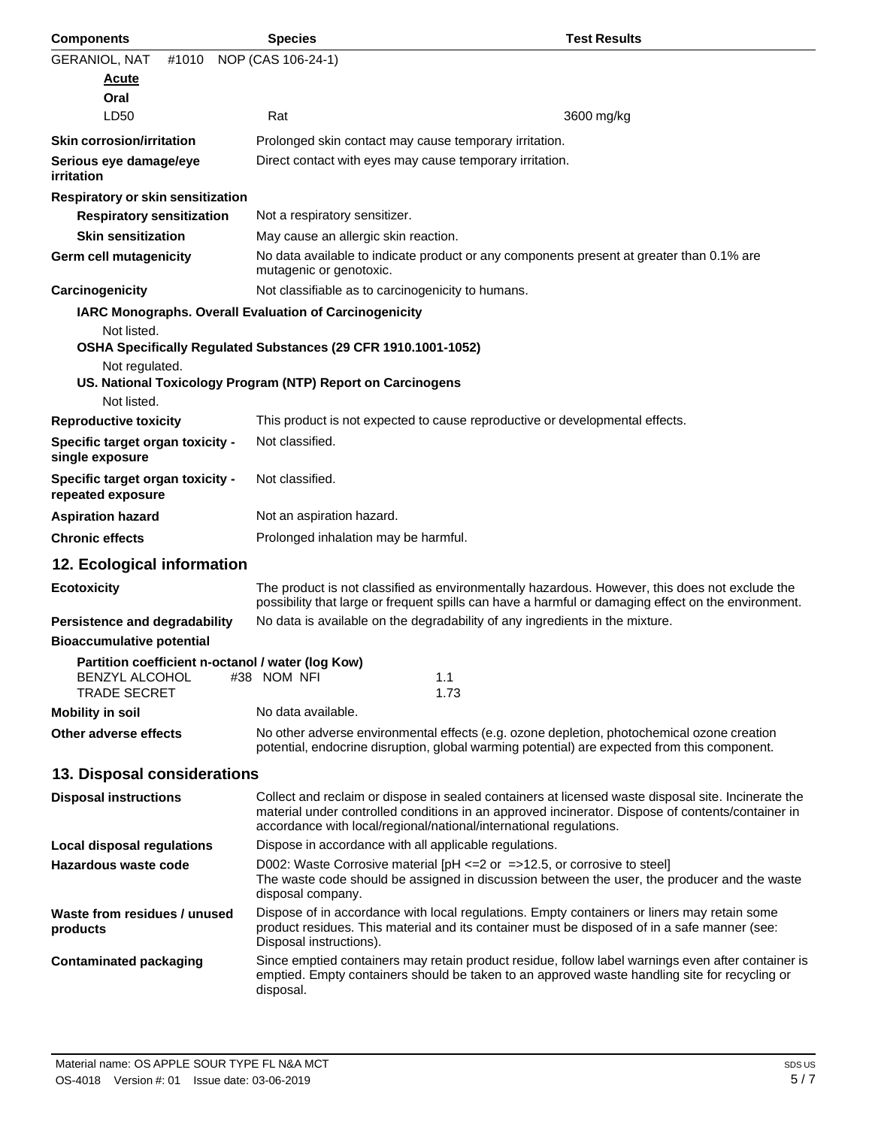| <b>Components</b>                                                                                 | <b>Species</b>                                                     | <b>Test Results</b>                                                                                                                                                                                      |
|---------------------------------------------------------------------------------------------------|--------------------------------------------------------------------|----------------------------------------------------------------------------------------------------------------------------------------------------------------------------------------------------------|
| <b>GERANIOL, NAT</b><br>#1010                                                                     | NOP (CAS 106-24-1)                                                 |                                                                                                                                                                                                          |
| <b>Acute</b>                                                                                      |                                                                    |                                                                                                                                                                                                          |
| Oral                                                                                              |                                                                    |                                                                                                                                                                                                          |
| LD50                                                                                              | Rat                                                                | 3600 mg/kg                                                                                                                                                                                               |
| <b>Skin corrosion/irritation</b>                                                                  | Prolonged skin contact may cause temporary irritation.             |                                                                                                                                                                                                          |
| Serious eye damage/eye<br><i>irritation</i>                                                       | Direct contact with eyes may cause temporary irritation.           |                                                                                                                                                                                                          |
| Respiratory or skin sensitization                                                                 |                                                                    |                                                                                                                                                                                                          |
| <b>Respiratory sensitization</b>                                                                  | Not a respiratory sensitizer.                                      |                                                                                                                                                                                                          |
| <b>Skin sensitization</b>                                                                         | May cause an allergic skin reaction.                               |                                                                                                                                                                                                          |
| <b>Germ cell mutagenicity</b>                                                                     | mutagenic or genotoxic.                                            | No data available to indicate product or any components present at greater than 0.1% are                                                                                                                 |
| Carcinogenicity                                                                                   | Not classifiable as to carcinogenicity to humans.                  |                                                                                                                                                                                                          |
| <b>IARC Monographs. Overall Evaluation of Carcinogenicity</b>                                     |                                                                    |                                                                                                                                                                                                          |
| Not listed.                                                                                       | OSHA Specifically Regulated Substances (29 CFR 1910.1001-1052)     |                                                                                                                                                                                                          |
| Not regulated.                                                                                    | US. National Toxicology Program (NTP) Report on Carcinogens        |                                                                                                                                                                                                          |
| Not listed.                                                                                       |                                                                    |                                                                                                                                                                                                          |
| <b>Reproductive toxicity</b>                                                                      |                                                                    | This product is not expected to cause reproductive or developmental effects.                                                                                                                             |
| Specific target organ toxicity -<br>single exposure                                               | Not classified.                                                    |                                                                                                                                                                                                          |
| Specific target organ toxicity -<br>repeated exposure                                             | Not classified.                                                    |                                                                                                                                                                                                          |
| <b>Aspiration hazard</b>                                                                          | Not an aspiration hazard.                                          |                                                                                                                                                                                                          |
| <b>Chronic effects</b>                                                                            | Prolonged inhalation may be harmful.                               |                                                                                                                                                                                                          |
| 12. Ecological information                                                                        |                                                                    |                                                                                                                                                                                                          |
| <b>Ecotoxicity</b>                                                                                |                                                                    | The product is not classified as environmentally hazardous. However, this does not exclude the<br>possibility that large or frequent spills can have a harmful or damaging effect on the environment.    |
| Persistence and degradability                                                                     |                                                                    | No data is available on the degradability of any ingredients in the mixture.                                                                                                                             |
| <b>Bioaccumulative potential</b>                                                                  |                                                                    |                                                                                                                                                                                                          |
| Partition coefficient n-octanol / water (log Kow)<br><b>BENZYL ALCOHOL</b><br><b>TRADE SECRET</b> | #38 NOM NFI<br>1.1<br>1.73                                         |                                                                                                                                                                                                          |
| <b>Mobility in soil</b>                                                                           | No data available.                                                 |                                                                                                                                                                                                          |
| Other adverse effects                                                                             |                                                                    | No other adverse environmental effects (e.g. ozone depletion, photochemical ozone creation<br>potential, endocrine disruption, global warming potential) are expected from this component.               |
| 13. Disposal considerations                                                                       |                                                                    |                                                                                                                                                                                                          |
| <b>Disposal instructions</b>                                                                      | accordance with local/regional/national/international regulations. | Collect and reclaim or dispose in sealed containers at licensed waste disposal site. Incinerate the<br>material under controlled conditions in an approved incinerator. Dispose of contents/container in |
| Local disposal regulations                                                                        | Dispose in accordance with all applicable regulations.             |                                                                                                                                                                                                          |
| Hazardous waste code                                                                              | disposal company.                                                  | D002: Waste Corrosive material [pH $\leq$ 2 or $\leq$ >12.5, or corrosive to steel]<br>The waste code should be assigned in discussion between the user, the producer and the waste                      |
| Waste from residues / unused<br>products                                                          | Disposal instructions).                                            | Dispose of in accordance with local regulations. Empty containers or liners may retain some<br>product residues. This material and its container must be disposed of in a safe manner (see:              |
| <b>Contaminated packaging</b>                                                                     | disposal.                                                          | Since emptied containers may retain product residue, follow label warnings even after container is<br>emptied. Empty containers should be taken to an approved waste handling site for recycling or      |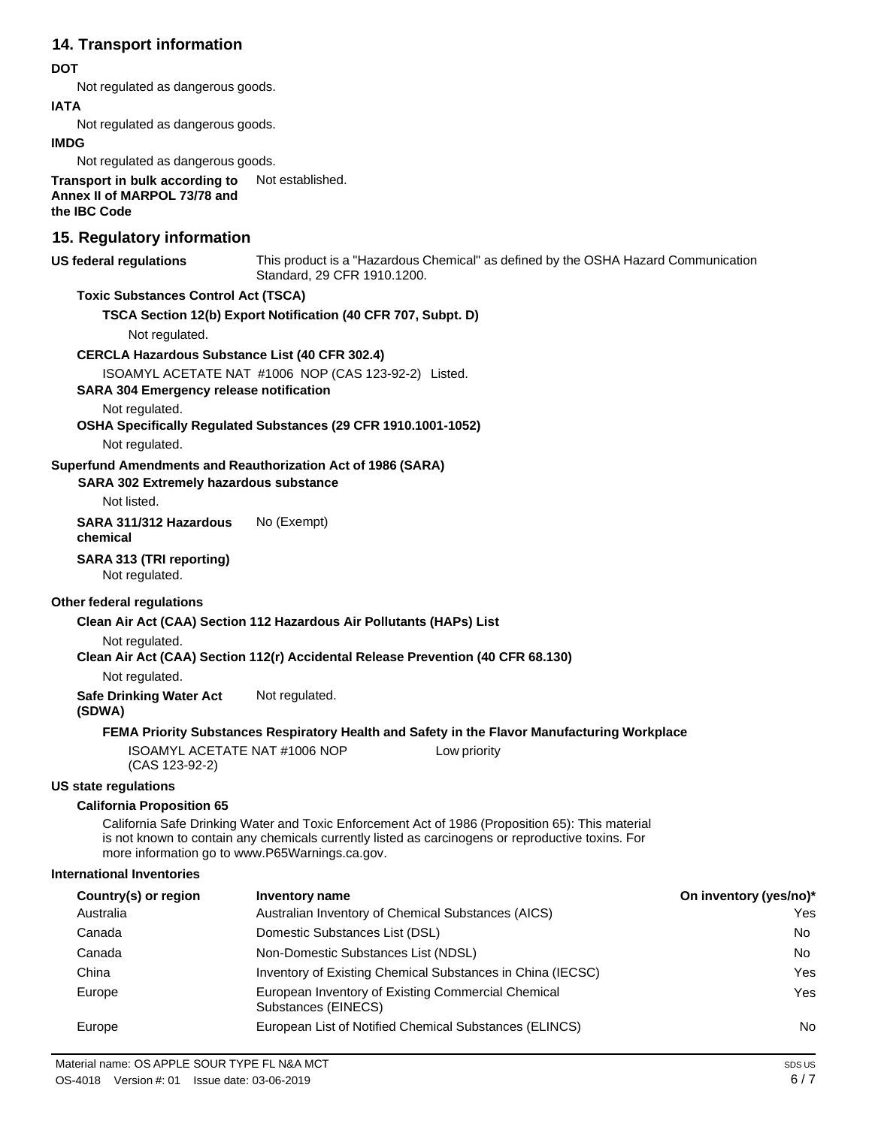### **14. Transport information**

#### **DOT**

Not regulated as dangerous goods.

#### **IATA**

Not regulated as dangerous goods.

#### **IMDG**

Not regulated as dangerous goods.

**Transport in bulk according to Annex II of MARPOL 73/78 and the IBC Code** Not established.

### **15. Regulatory information**

#### **US federal regulations** This product is a "Hazardous Chemical" as defined by the OSHA Hazard Communication Standard, 29 CFR 1910.1200.

#### **Toxic Substances Control Act (TSCA)**

**TSCA Section 12(b) Export Notification (40 CFR 707, Subpt. D)**

Not regulated.

#### **CERCLA Hazardous Substance List (40 CFR 302.4)**

ISOAMYL ACETATE NAT #1006 NOP (CAS 123-92-2) Listed.

**SARA 304 Emergency release notification**

Not regulated.

#### **OSHA Specifically Regulated Substances (29 CFR 1910.1001-1052)**

Not regulated.

#### **Superfund Amendments and Reauthorization Act of 1986 (SARA)**

#### **SARA 302 Extremely hazardous substance**

Not listed.

#### **SARA 311/312 Hazardous chemical** No (Exempt)

#### **SARA 313 (TRI reporting)**

Not regulated.

#### **Other federal regulations**

#### **Clean Air Act (CAA) Section 112 Hazardous Air Pollutants (HAPs) List**

Not regulated.

#### **Clean Air Act (CAA) Section 112(r) Accidental Release Prevention (40 CFR 68.130)**

Not regulated.

**Safe Drinking Water Act** Not regulated.

```
(SDWA)
```
#### **FEMA Priority Substances Respiratory Health and Safety in the Flavor Manufacturing Workplace**

ISOAMYL ACETATE NAT #1006 NOP (CAS 123-92-2)

#### **US state regulations**

#### **California Proposition 65**

California Safe Drinking Water and Toxic Enforcement Act of 1986 (Proposition 65): This material is not known to contain any chemicals currently listed as carcinogens or reproductive toxins. For more information go to [www.P65Warnings.ca.gov.](http://www.p65warnings.ca.gov/)

#### **International Inventories**

| Country(s) or region | Inventory name                                                            | On inventory (yes/no)* |
|----------------------|---------------------------------------------------------------------------|------------------------|
| Australia            | Australian Inventory of Chemical Substances (AICS)                        | Yes                    |
| Canada               | Domestic Substances List (DSL)                                            | No.                    |
| Canada               | Non-Domestic Substances List (NDSL)                                       | No.                    |
| China                | Inventory of Existing Chemical Substances in China (IECSC)                | Yes                    |
| Europe               | European Inventory of Existing Commercial Chemical<br>Substances (EINECS) | Yes                    |
| Europe               | European List of Notified Chemical Substances (ELINCS)                    | No                     |

Low priority